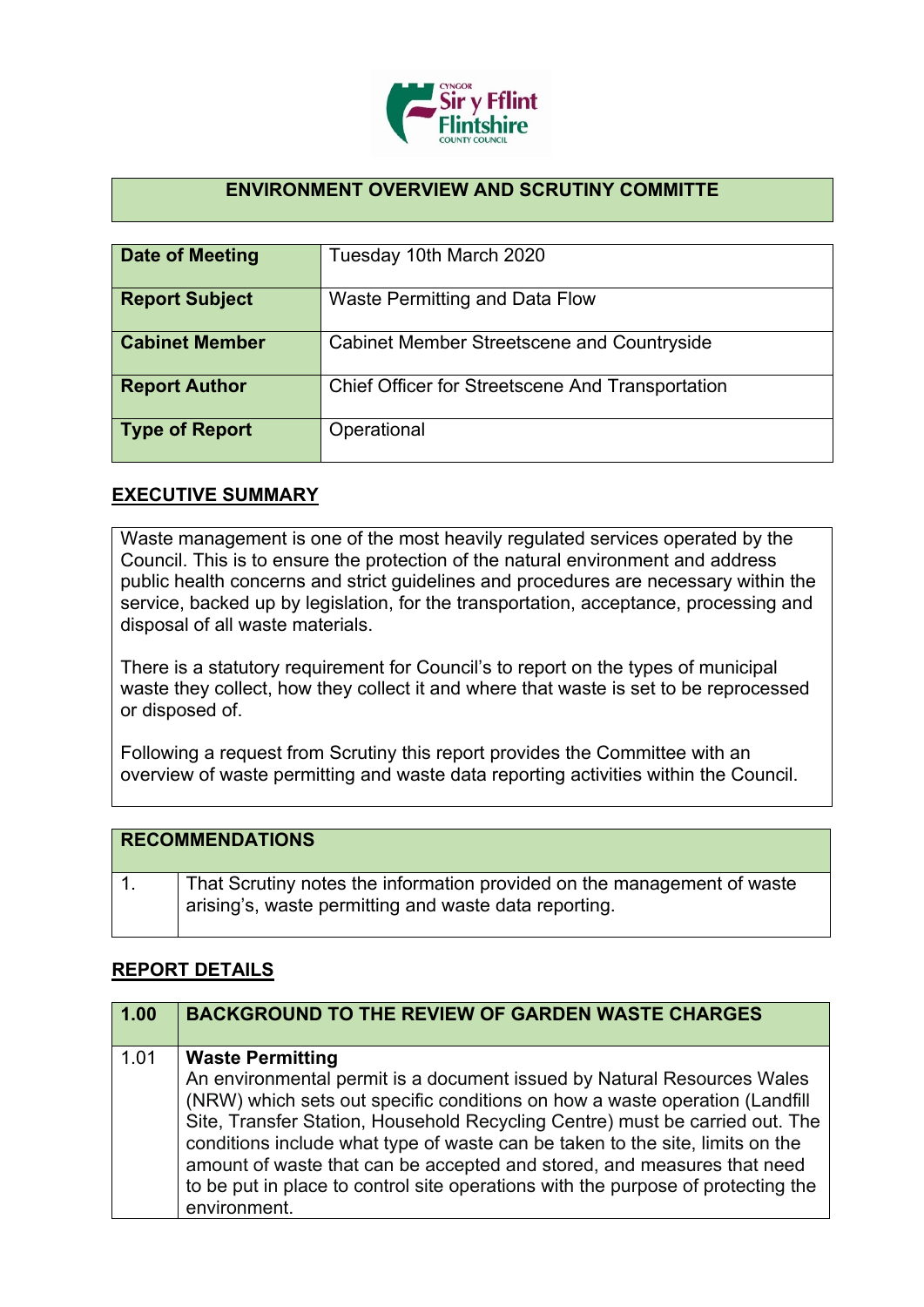

## **ENVIRONMENT OVERVIEW AND SCRUTINY COMMITTE**

| Date of Meeting       | Tuesday 10th March 2020                                 |
|-----------------------|---------------------------------------------------------|
| <b>Report Subject</b> | Waste Permitting and Data Flow                          |
| <b>Cabinet Member</b> | <b>Cabinet Member Streetscene and Countryside</b>       |
| <b>Report Author</b>  | <b>Chief Officer for Streetscene And Transportation</b> |
| <b>Type of Report</b> | Operational                                             |

## **EXECUTIVE SUMMARY**

Waste management is one of the most heavily regulated services operated by the Council. This is to ensure the protection of the natural environment and address public health concerns and strict guidelines and procedures are necessary within the service, backed up by legislation, for the transportation, acceptance, processing and disposal of all waste materials.

There is a statutory requirement for Council's to report on the types of municipal waste they collect, how they collect it and where that waste is set to be reprocessed or disposed of.

Following a request from Scrutiny this report provides the Committee with an overview of waste permitting and waste data reporting activities within the Council.

| <b>RECOMMENDATIONS</b>                                                                                                           |
|----------------------------------------------------------------------------------------------------------------------------------|
| That Scrutiny notes the information provided on the management of waste<br>arising's, waste permitting and waste data reporting. |

## **REPORT DETAILS**

| $\sqrt{1.00}$ | <b>BACKGROUND TO THE REVIEW OF GARDEN WASTE CHARGES</b>                                                                                                                                                                                                                                                                                                                                                                                                                                                                           |
|---------------|-----------------------------------------------------------------------------------------------------------------------------------------------------------------------------------------------------------------------------------------------------------------------------------------------------------------------------------------------------------------------------------------------------------------------------------------------------------------------------------------------------------------------------------|
| 1.01          | <b>Waste Permitting</b><br>An environmental permit is a document issued by Natural Resources Wales<br>(NRW) which sets out specific conditions on how a waste operation (Landfill<br>Site, Transfer Station, Household Recycling Centre) must be carried out. The<br>conditions include what type of waste can be taken to the site, limits on the<br>amount of waste that can be accepted and stored, and measures that need<br>to be put in place to control site operations with the purpose of protecting the<br>environment. |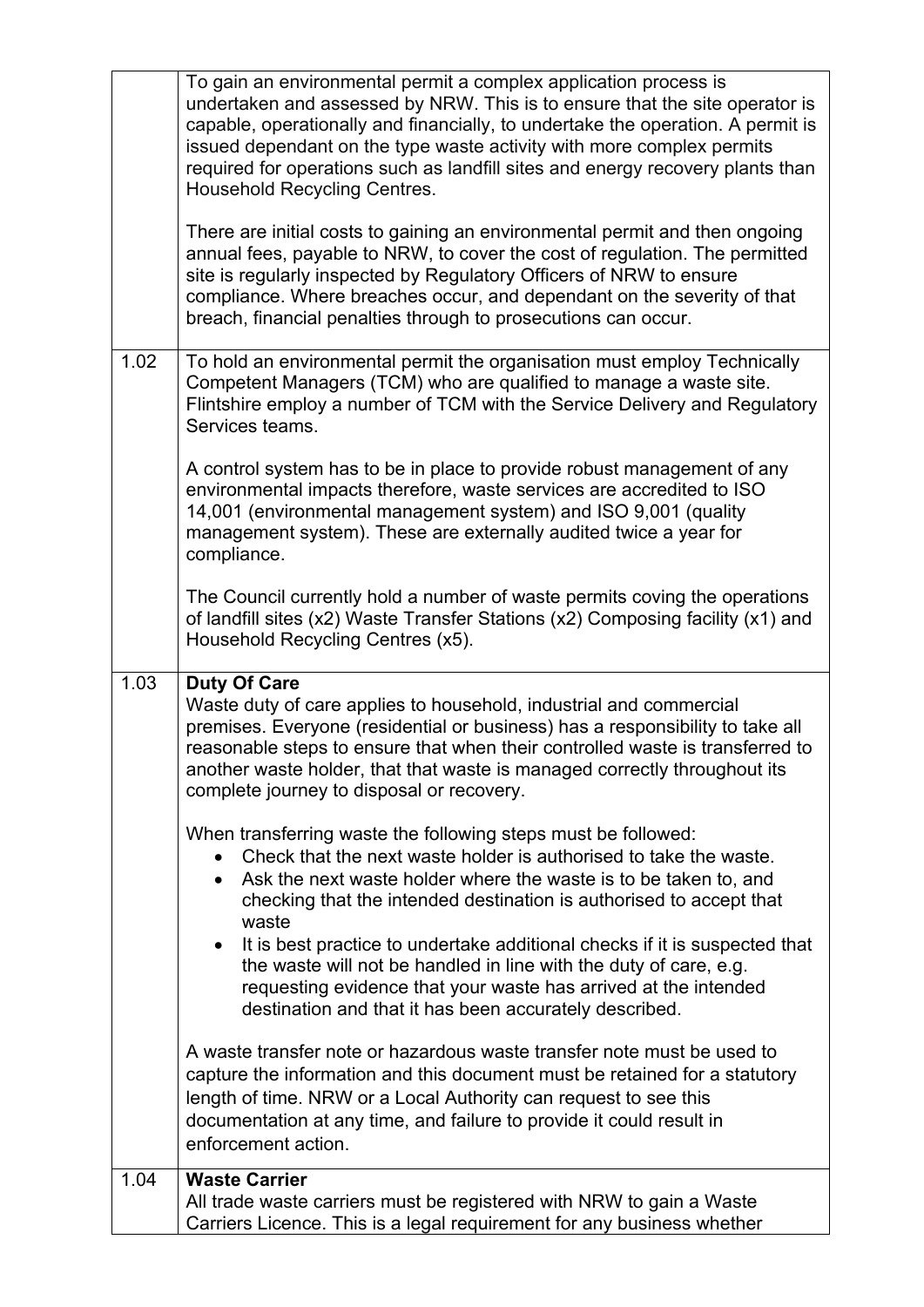| 1.04 | <b>Waste Carrier</b><br>All trade waste carriers must be registered with NRW to gain a Waste<br>Carriers Licence. This is a legal requirement for any business whether                                                                                                                                                                                                                                                               |
|------|--------------------------------------------------------------------------------------------------------------------------------------------------------------------------------------------------------------------------------------------------------------------------------------------------------------------------------------------------------------------------------------------------------------------------------------|
|      | A waste transfer note or hazardous waste transfer note must be used to<br>capture the information and this document must be retained for a statutory<br>length of time. NRW or a Local Authority can request to see this<br>documentation at any time, and failure to provide it could result in<br>enforcement action.                                                                                                              |
|      | checking that the intended destination is authorised to accept that<br>waste<br>It is best practice to undertake additional checks if it is suspected that<br>the waste will not be handled in line with the duty of care, e.g.<br>requesting evidence that your waste has arrived at the intended<br>destination and that it has been accurately described.                                                                         |
|      | When transferring waste the following steps must be followed:<br>Check that the next waste holder is authorised to take the waste.<br>Ask the next waste holder where the waste is to be taken to, and                                                                                                                                                                                                                               |
| 1.03 | <b>Duty Of Care</b><br>Waste duty of care applies to household, industrial and commercial<br>premises. Everyone (residential or business) has a responsibility to take all<br>reasonable steps to ensure that when their controlled waste is transferred to<br>another waste holder, that that waste is managed correctly throughout its<br>complete journey to disposal or recovery.                                                |
|      | The Council currently hold a number of waste permits coving the operations<br>of landfill sites (x2) Waste Transfer Stations (x2) Composing facility (x1) and<br>Household Recycling Centres (x5).                                                                                                                                                                                                                                   |
|      | A control system has to be in place to provide robust management of any<br>environmental impacts therefore, waste services are accredited to ISO<br>14,001 (environmental management system) and ISO 9,001 (quality<br>management system). These are externally audited twice a year for<br>compliance.                                                                                                                              |
| 1.02 | To hold an environmental permit the organisation must employ Technically<br>Competent Managers (TCM) who are qualified to manage a waste site.<br>Flintshire employ a number of TCM with the Service Delivery and Regulatory<br>Services teams.                                                                                                                                                                                      |
|      | There are initial costs to gaining an environmental permit and then ongoing<br>annual fees, payable to NRW, to cover the cost of regulation. The permitted<br>site is regularly inspected by Regulatory Officers of NRW to ensure<br>compliance. Where breaches occur, and dependant on the severity of that<br>breach, financial penalties through to prosecutions can occur.                                                       |
|      | To gain an environmental permit a complex application process is<br>undertaken and assessed by NRW. This is to ensure that the site operator is<br>capable, operationally and financially, to undertake the operation. A permit is<br>issued dependant on the type waste activity with more complex permits<br>required for operations such as landfill sites and energy recovery plants than<br><b>Household Recycling Centres.</b> |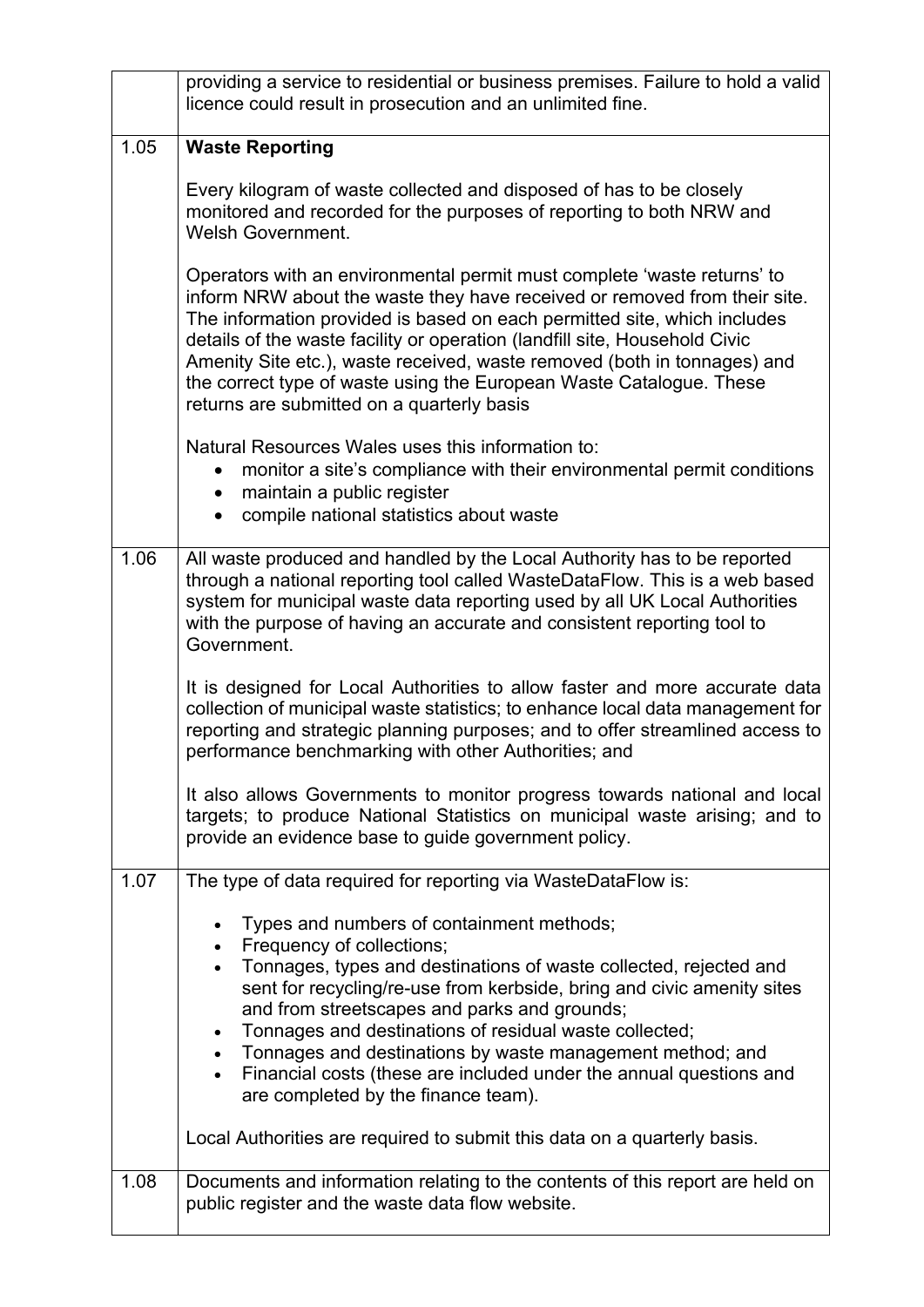|      | providing a service to residential or business premises. Failure to hold a valid<br>licence could result in prosecution and an unlimited fine.                                                                                                                                                                                                                                                                                                                                                                  |
|------|-----------------------------------------------------------------------------------------------------------------------------------------------------------------------------------------------------------------------------------------------------------------------------------------------------------------------------------------------------------------------------------------------------------------------------------------------------------------------------------------------------------------|
| 1.05 | <b>Waste Reporting</b>                                                                                                                                                                                                                                                                                                                                                                                                                                                                                          |
|      | Every kilogram of waste collected and disposed of has to be closely<br>monitored and recorded for the purposes of reporting to both NRW and<br><b>Welsh Government.</b>                                                                                                                                                                                                                                                                                                                                         |
|      | Operators with an environmental permit must complete 'waste returns' to<br>inform NRW about the waste they have received or removed from their site.<br>The information provided is based on each permitted site, which includes<br>details of the waste facility or operation (landfill site, Household Civic<br>Amenity Site etc.), waste received, waste removed (both in tonnages) and<br>the correct type of waste using the European Waste Catalogue. These<br>returns are submitted on a quarterly basis |
|      | Natural Resources Wales uses this information to:<br>monitor a site's compliance with their environmental permit conditions<br>maintain a public register<br>$\bullet$<br>compile national statistics about waste<br>$\bullet$                                                                                                                                                                                                                                                                                  |
| 1.06 | All waste produced and handled by the Local Authority has to be reported<br>through a national reporting tool called WasteDataFlow. This is a web based<br>system for municipal waste data reporting used by all UK Local Authorities<br>with the purpose of having an accurate and consistent reporting tool to<br>Government.                                                                                                                                                                                 |
|      | It is designed for Local Authorities to allow faster and more accurate data<br>collection of municipal waste statistics; to enhance local data management for<br>reporting and strategic planning purposes; and to offer streamlined access to<br>performance benchmarking with other Authorities; and                                                                                                                                                                                                          |
|      | It also allows Governments to monitor progress towards national and local<br>targets; to produce National Statistics on municipal waste arising; and to<br>provide an evidence base to guide government policy.                                                                                                                                                                                                                                                                                                 |
| 1.07 | The type of data required for reporting via WasteDataFlow is:                                                                                                                                                                                                                                                                                                                                                                                                                                                   |
|      | Types and numbers of containment methods;                                                                                                                                                                                                                                                                                                                                                                                                                                                                       |
|      | Frequency of collections;<br>Tonnages, types and destinations of waste collected, rejected and                                                                                                                                                                                                                                                                                                                                                                                                                  |
|      | sent for recycling/re-use from kerbside, bring and civic amenity sites<br>and from streetscapes and parks and grounds;                                                                                                                                                                                                                                                                                                                                                                                          |
|      | Tonnages and destinations of residual waste collected;<br>$\bullet$                                                                                                                                                                                                                                                                                                                                                                                                                                             |
|      | • Tonnages and destinations by waste management method; and<br>Financial costs (these are included under the annual questions and<br>$\bullet$<br>are completed by the finance team).                                                                                                                                                                                                                                                                                                                           |
|      | Local Authorities are required to submit this data on a quarterly basis.                                                                                                                                                                                                                                                                                                                                                                                                                                        |
| 1.08 | Documents and information relating to the contents of this report are held on<br>public register and the waste data flow website.                                                                                                                                                                                                                                                                                                                                                                               |